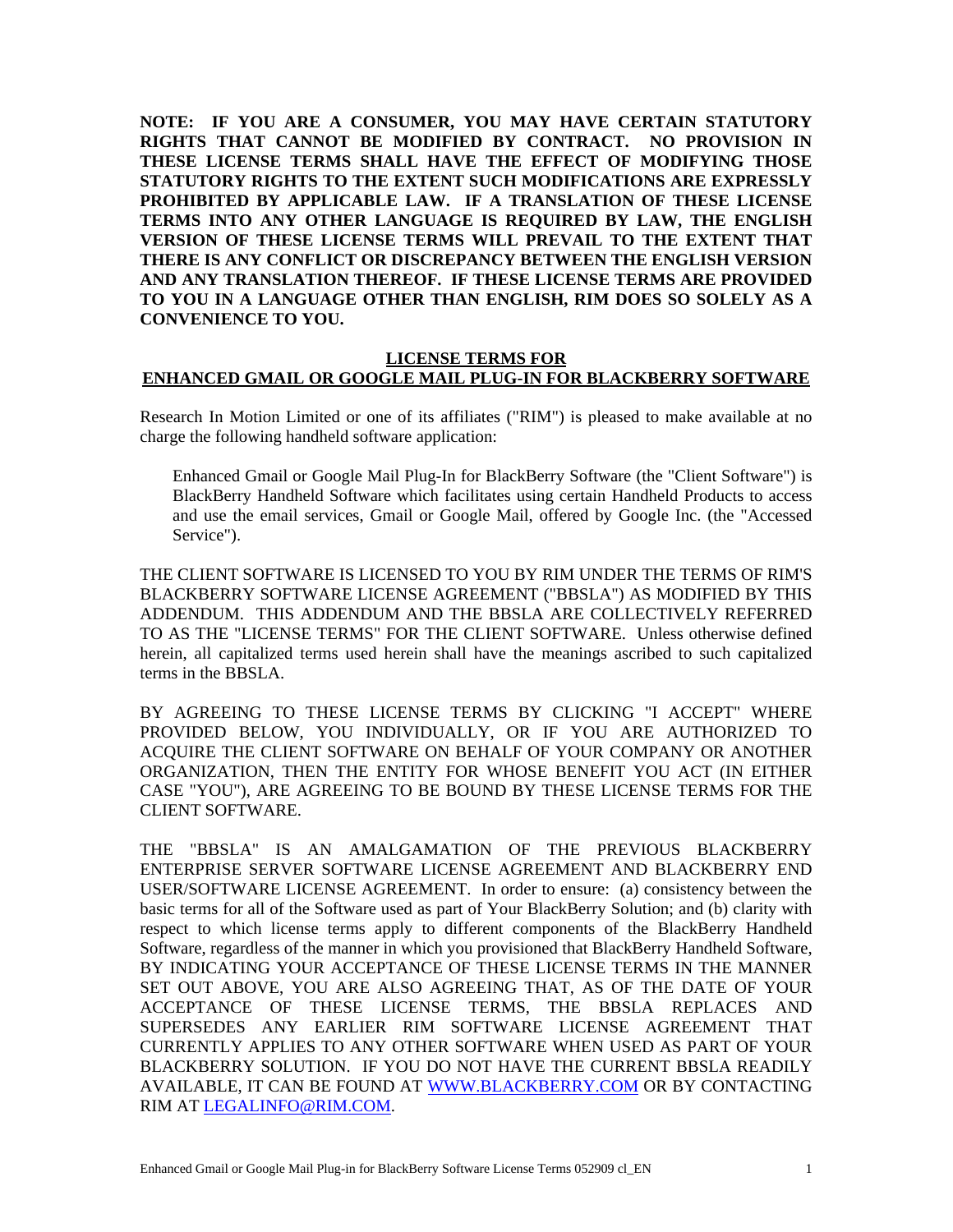**NOTE: IF YOU ARE A CONSUMER, YOU MAY HAVE CERTAIN STATUTORY RIGHTS THAT CANNOT BE MODIFIED BY CONTRACT. NO PROVISION IN THESE LICENSE TERMS SHALL HAVE THE EFFECT OF MODIFYING THOSE STATUTORY RIGHTS TO THE EXTENT SUCH MODIFICATIONS ARE EXPRESSLY PROHIBITED BY APPLICABLE LAW. IF A TRANSLATION OF THESE LICENSE TERMS INTO ANY OTHER LANGUAGE IS REQUIRED BY LAW, THE ENGLISH VERSION OF THESE LICENSE TERMS WILL PREVAIL TO THE EXTENT THAT THERE IS ANY CONFLICT OR DISCREPANCY BETWEEN THE ENGLISH VERSION AND ANY TRANSLATION THEREOF. IF THESE LICENSE TERMS ARE PROVIDED TO YOU IN A LANGUAGE OTHER THAN ENGLISH, RIM DOES SO SOLELY AS A CONVENIENCE TO YOU.** 

## **LICENSE TERMS FOR ENHANCED GMAIL OR GOOGLE MAIL PLUG-IN FOR BLACKBERRY SOFTWARE**

Research In Motion Limited or one of its affiliates ("RIM") is pleased to make available at no charge the following handheld software application:

Enhanced Gmail or Google Mail Plug-In for BlackBerry Software (the "Client Software") is BlackBerry Handheld Software which facilitates using certain Handheld Products to access and use the email services, Gmail or Google Mail, offered by Google Inc. (the "Accessed Service").

THE CLIENT SOFTWARE IS LICENSED TO YOU BY RIM UNDER THE TERMS OF RIM'S BLACKBERRY SOFTWARE LICENSE AGREEMENT ("BBSLA") AS MODIFIED BY THIS ADDENDUM. THIS ADDENDUM AND THE BBSLA ARE COLLECTIVELY REFERRED TO AS THE "LICENSE TERMS" FOR THE CLIENT SOFTWARE. Unless otherwise defined herein, all capitalized terms used herein shall have the meanings ascribed to such capitalized terms in the BBSLA.

BY AGREEING TO THESE LICENSE TERMS BY CLICKING "I ACCEPT" WHERE PROVIDED BELOW, YOU INDIVIDUALLY, OR IF YOU ARE AUTHORIZED TO ACQUIRE THE CLIENT SOFTWARE ON BEHALF OF YOUR COMPANY OR ANOTHER ORGANIZATION, THEN THE ENTITY FOR WHOSE BENEFIT YOU ACT (IN EITHER CASE "YOU"), ARE AGREEING TO BE BOUND BY THESE LICENSE TERMS FOR THE CLIENT SOFTWARE.

THE "BBSLA" IS AN AMALGAMATION OF THE PREVIOUS BLACKBERRY ENTERPRISE SERVER SOFTWARE LICENSE AGREEMENT AND BLACKBERRY END USER/SOFTWARE LICENSE AGREEMENT. In order to ensure: (a) consistency between the basic terms for all of the Software used as part of Your BlackBerry Solution; and (b) clarity with respect to which license terms apply to different components of the BlackBerry Handheld Software, regardless of the manner in which you provisioned that BlackBerry Handheld Software, BY INDICATING YOUR ACCEPTANCE OF THESE LICENSE TERMS IN THE MANNER SET OUT ABOVE, YOU ARE ALSO AGREEING THAT, AS OF THE DATE OF YOUR ACCEPTANCE OF THESE LICENSE TERMS, THE BBSLA REPLACES AND SUPERSEDES ANY EARLIER RIM SOFTWARE LICENSE AGREEMENT THAT CURRENTLY APPLIES TO ANY OTHER SOFTWARE WHEN USED AS PART OF YOUR BLACKBERRY SOLUTION. IF YOU DO NOT HAVE THE CURRENT BBSLA READILY AVAILABLE, IT CAN BE FOUND AT WWW.BLACKBERRY.COM OR BY CONTACTING RIM AT LEGALINFO@RIM.COM.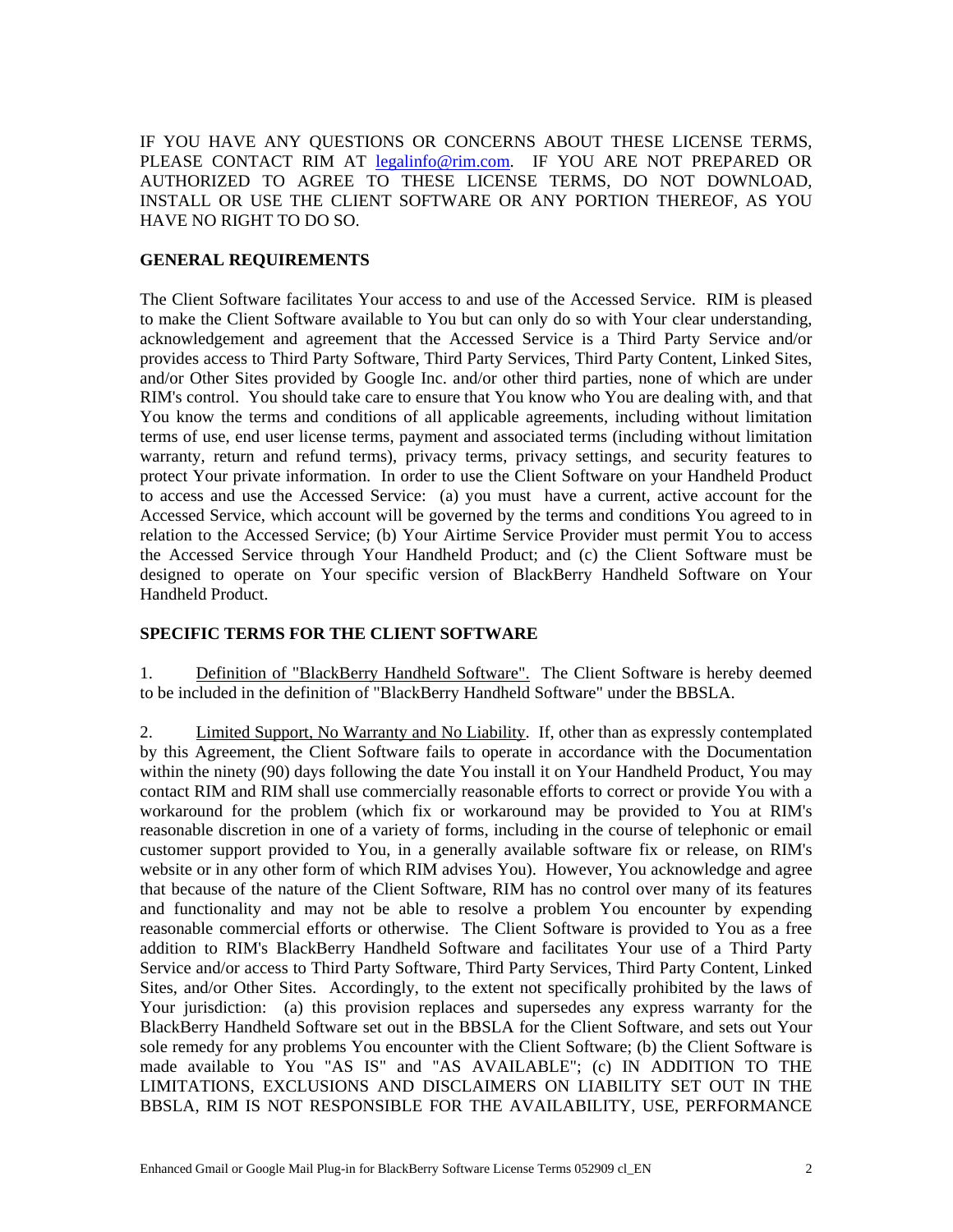IF YOU HAVE ANY QUESTIONS OR CONCERNS ABOUT THESE LICENSE TERMS, PLEASE CONTACT RIM AT legalinfo@rim.com. IF YOU ARE NOT PREPARED OR AUTHORIZED TO AGREE TO THESE LICENSE TERMS, DO NOT DOWNLOAD, INSTALL OR USE THE CLIENT SOFTWARE OR ANY PORTION THEREOF, AS YOU HAVE NO RIGHT TO DO SO.

## **GENERAL REQUIREMENTS**

The Client Software facilitates Your access to and use of the Accessed Service. RIM is pleased to make the Client Software available to You but can only do so with Your clear understanding, acknowledgement and agreement that the Accessed Service is a Third Party Service and/or provides access to Third Party Software, Third Party Services, Third Party Content, Linked Sites, and/or Other Sites provided by Google Inc. and/or other third parties, none of which are under RIM's control. You should take care to ensure that You know who You are dealing with, and that You know the terms and conditions of all applicable agreements, including without limitation terms of use, end user license terms, payment and associated terms (including without limitation warranty, return and refund terms), privacy terms, privacy settings, and security features to protect Your private information. In order to use the Client Software on your Handheld Product to access and use the Accessed Service: (a) you must have a current, active account for the Accessed Service, which account will be governed by the terms and conditions You agreed to in relation to the Accessed Service; (b) Your Airtime Service Provider must permit You to access the Accessed Service through Your Handheld Product; and (c) the Client Software must be designed to operate on Your specific version of BlackBerry Handheld Software on Your Handheld Product.

## **SPECIFIC TERMS FOR THE CLIENT SOFTWARE**

1. Definition of "BlackBerry Handheld Software". The Client Software is hereby deemed to be included in the definition of "BlackBerry Handheld Software" under the BBSLA.

2. Limited Support, No Warranty and No Liability. If, other than as expressly contemplated by this Agreement, the Client Software fails to operate in accordance with the Documentation within the ninety (90) days following the date You install it on Your Handheld Product, You may contact RIM and RIM shall use commercially reasonable efforts to correct or provide You with a workaround for the problem (which fix or workaround may be provided to You at RIM's reasonable discretion in one of a variety of forms, including in the course of telephonic or email customer support provided to You, in a generally available software fix or release, on RIM's website or in any other form of which RIM advises You). However, You acknowledge and agree that because of the nature of the Client Software, RIM has no control over many of its features and functionality and may not be able to resolve a problem You encounter by expending reasonable commercial efforts or otherwise. The Client Software is provided to You as a free addition to RIM's BlackBerry Handheld Software and facilitates Your use of a Third Party Service and/or access to Third Party Software, Third Party Services, Third Party Content, Linked Sites, and/or Other Sites. Accordingly, to the extent not specifically prohibited by the laws of Your jurisdiction: (a) this provision replaces and supersedes any express warranty for the BlackBerry Handheld Software set out in the BBSLA for the Client Software, and sets out Your sole remedy for any problems You encounter with the Client Software; (b) the Client Software is made available to You "AS IS" and "AS AVAILABLE"; (c) IN ADDITION TO THE LIMITATIONS, EXCLUSIONS AND DISCLAIMERS ON LIABILITY SET OUT IN THE BBSLA, RIM IS NOT RESPONSIBLE FOR THE AVAILABILITY, USE, PERFORMANCE